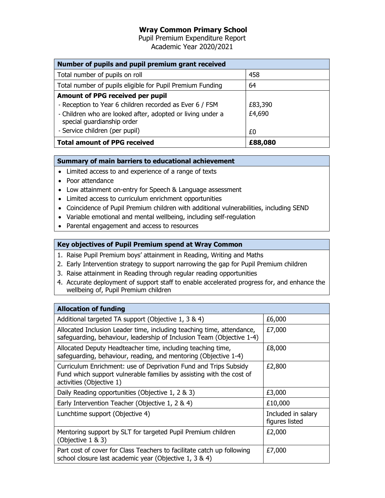## Wray Common Primary School

Pupil Premium Expenditure Report Academic Year 2020/2021

| Number of pupils and pupil premium grant received                                        |         |  |
|------------------------------------------------------------------------------------------|---------|--|
| Total number of pupils on roll                                                           | 458     |  |
| Total number of pupils eligible for Pupil Premium Funding                                | 64      |  |
| Amount of PPG received per pupil                                                         |         |  |
| - Reception to Year 6 children recorded as Ever 6 / FSM                                  | £83,390 |  |
| - Children who are looked after, adopted or living under a<br>special guardianship order | £4,690  |  |
| - Service children (per pupil)                                                           | £0      |  |
| <b>Total amount of PPG received</b>                                                      | £88,080 |  |

## Summary of main barriers to educational achievement

- Limited access to and experience of a range of texts
- Poor attendance
- Low attainment on-entry for Speech & Language assessment
- Limited access to curriculum enrichment opportunities
- Coincidence of Pupil Premium children with additional vulnerabilities, including SEND
- Variable emotional and mental wellbeing, including self-regulation
- Parental engagement and access to resources

## Key objectives of Pupil Premium spend at Wray Common

- 1. Raise Pupil Premium boys' attainment in Reading, Writing and Maths
- 2. Early Intervention strategy to support narrowing the gap for Pupil Premium children
- 3. Raise attainment in Reading through regular reading opportunities
- 4. Accurate deployment of support staff to enable accelerated progress for, and enhance the wellbeing of, Pupil Premium children

| <b>Allocation of funding</b>                                                                                                                                         |                                      |
|----------------------------------------------------------------------------------------------------------------------------------------------------------------------|--------------------------------------|
| Additional targeted TA support (Objective 1, 3 & 4)                                                                                                                  | £6,000                               |
| Allocated Inclusion Leader time, including teaching time, attendance,<br>safeguarding, behaviour, leadership of Inclusion Team (Objective 1-4)                       | £7,000                               |
| Allocated Deputy Headteacher time, including teaching time,<br>safeguarding, behaviour, reading, and mentoring (Objective 1-4)                                       | £8,000                               |
| Curriculum Enrichment: use of Deprivation Fund and Trips Subsidy<br>Fund which support vulnerable families by assisting with the cost of<br>activities (Objective 1) | £2,800                               |
| Daily Reading opportunities (Objective 1, 2 & 3)                                                                                                                     | £3,000                               |
| Early Intervention Teacher (Objective 1, 2 & 4)                                                                                                                      | £10,000                              |
| Lunchtime support (Objective 4)                                                                                                                                      | Included in salary<br>figures listed |
| Mentoring support by SLT for targeted Pupil Premium children<br>(Objective 1 & 3)                                                                                    | £2,000                               |
| Part cost of cover for Class Teachers to facilitate catch up following<br>school closure last academic year (Objective 1, 3 & 4)                                     | £7,000                               |